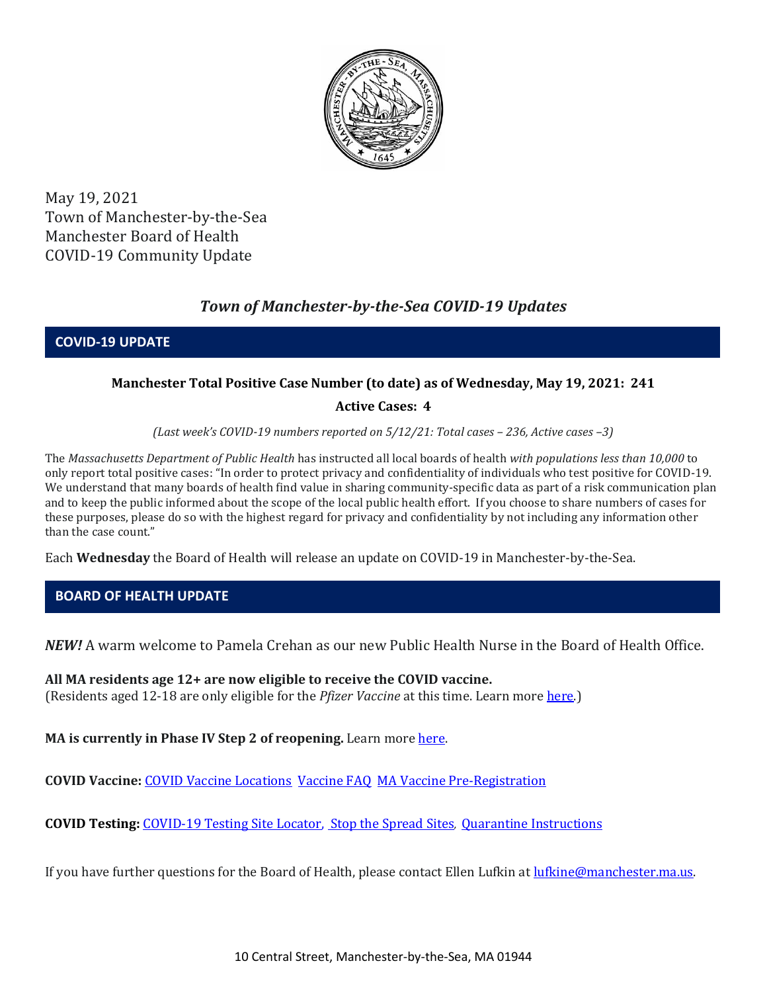

May 19, 2021 Town of Manchester-by-the-Sea Manchester Board of Health COVID-19 Community Update

# *Town of Manchester-by-the-Sea COVID-19 Updates*

**COVID-19 UPDATE**

## **Manchester Total Positive Case Number (to date) as of Wednesday, May 19, 2021: 241**

### **Active Cases: 4**

*(Last week's COVID-19 numbers reported on 5/12/21: Total cases – 236, Active cases –3)*

The *Massachusetts Department of Public Health* has instructed all local boards of health *with populations less than 10,000* to only report total positive cases: "In order to protect privacy and confidentiality of individuals who test positive for COVID-19. We understand that many boards of health find value in sharing community-specific data as part of a risk communication plan and to keep the public informed about the scope of the local public health effort. If you choose to share numbers of cases for these purposes, please do so with the highest regard for privacy and confidentiality by not including any information other than the case count."

Each **Wednesday** the Board of Health will release an update on COVID-19 in Manchester-by-the-Sea.

## **BOARD OF HEALTH UPDATE**

*NEW!* A warm welcome to Pamela Crehan as our new Public Health Nurse in the Board of Health Office.

**All MA residents age 12+ are now eligible to receive the COVID vaccine.**  (Residents aged 12-18 are only eligible for the *Pfizer Vaccine* at this time. Learn mor[e here.](https://www.mass.gov/info-details/covid-19-vaccinations-for-people-under-age-18))

**MA is currently in Phase IV Step 2 of reopening.** Learn more [here.](https://www.mass.gov/news/baker-polito-administration-announces-plans-for-continued-reopening) 

**COVID Vaccine:** COVID Vaccine Locations [Vaccine FAQ](https://www.mass.gov/info-details/preregister-for-a-covid-19-vaccine-appointment) [MA Vaccine Pre-Registration](https://www.mass.gov/info-details/preregister-for-a-covid-19-vaccine-appointment)

**COVID Testing:** [COVID-19 Testing Site Locator,](https://memamaps.maps.arcgis.com/apps/webappviewer/index.html?id=eba3f0395451430b9f631cb095febf13) [Stop the Spread Sites](https://www.mass.gov/info-details/stop-the-spread)*,* [Quarantine Instructions](http://manchester.ma.us/DocumentCenter/View/3558/14-10-7-day-COVID19_Quarantine-information-1272020)

If you have further questions for the Board of Health, please contact Ellen Lufkin at [lufkine@manchester.ma.us.](mailto:lufkine@manchester.ma.us)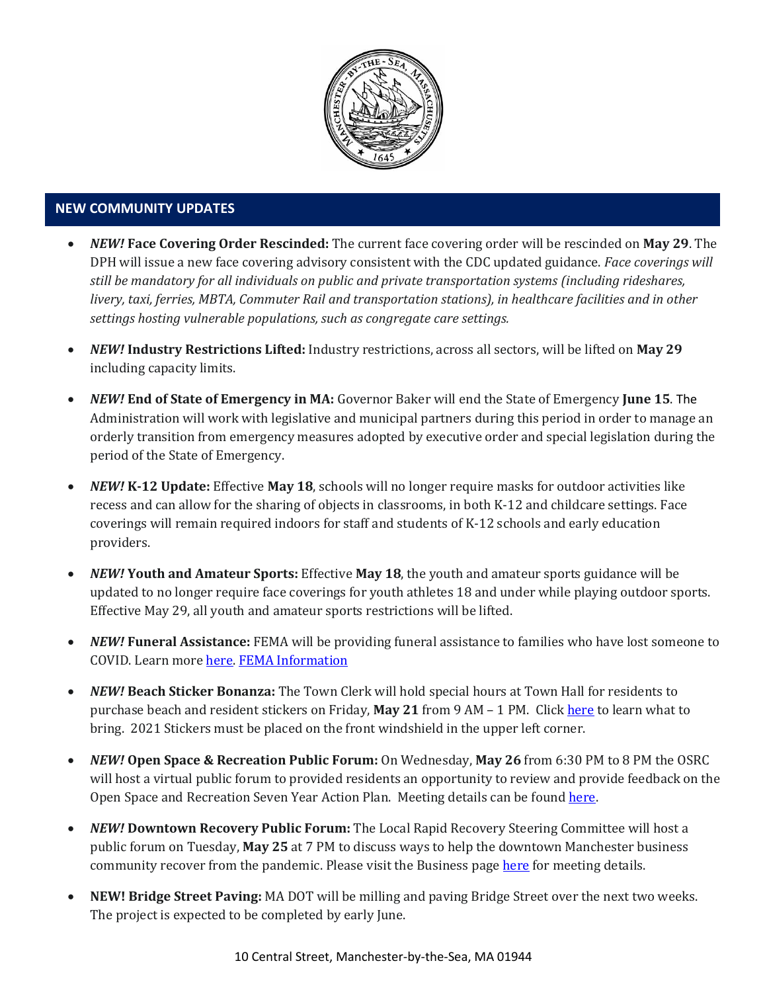

#### **NEW COMMUNITY UPDATES**

- *NEW!* **Face Covering Order Rescinded:** The current face covering order will be rescinded on **May 29**. The DPH will issue a new face covering advisory consistent with the CDC updated guidance. *Face coverings will still be mandatory for all individuals on public and private transportation systems (including rideshares, livery, taxi, ferries, MBTA, Commuter Rail and transportation stations), in healthcare facilities and in other settings hosting vulnerable populations, such as congregate care settings.*
- *NEW!* **Industry Restrictions Lifted:** Industry restrictions, across all sectors, will be lifted on **May 29** including capacity limits.
- *NEW!* **End of State of Emergency in MA:** Governor Baker will end the State of Emergency **June 15**. The Administration will work with legislative and municipal partners during this period in order to manage an orderly transition from emergency measures adopted by executive order and special legislation during the period of the State of Emergency.
- *NEW!* **K-12 Update:** Effective **May 18**, schools will no longer require masks for outdoor activities like recess and can allow for the sharing of objects in classrooms, in both K-12 and childcare settings. Face coverings will remain required indoors for staff and students of K-12 schools and early education providers.
- *NEW!* **Youth and Amateur Sports:** Effective **May 18**, the youth and amateur sports guidance will be updated to no longer require face coverings for youth athletes 18 and under while playing outdoor sports. Effective May 29, all youth and amateur sports restrictions will be lifted.
- *NEW!* **Funeral Assistance:** FEMA will be providing funeral assistance to families who have lost someone to COVID. Learn mor[e here.](https://www.mass.gov/info-details/covid-19-funeral-assistance) [FEMA Information](https://www.fema.gov/disasters/coronavirus/economic/funeral-assistance)
- *NEW!* **Beach Sticker Bonanza:** The Town Clerk will hold special hours at Town Hall for residents to purchase beach and resident stickers on Friday, **May 21** from 9 AM – 1 PM. Click [here](http://manchester.ma.us/251/Parking-Clerk) to learn what to bring. 2021 Stickers must be placed on the front windshield in the upper left corner.
- *NEW!* **Open Space & Recreation Public Forum:** On Wednesday, **May 26** from 6:30 PM to 8 PM the OSRC will host a virtual public forum to provided residents an opportunity to review and provide feedback on the Open Space and Recreation Seven Year Action Plan. Meeting details can be found [here.](http://manchester.ma.us/356/Open-Space-Recreation-Committee)
- *NEW!* **Downtown Recovery Public Forum:** The Local Rapid Recovery Steering Committee will host a public forum on Tuesday, **May 25** at 7 PM to discuss ways to help the downtown Manchester business community recover from the pandemic. Please visit the Business page [here](http://manchester.ma.us/728/Business-Guide) for meeting details.
- **NEW! Bridge Street Paving:** MA DOT will be milling and paving Bridge Street over the next two weeks. The project is expected to be completed by early June.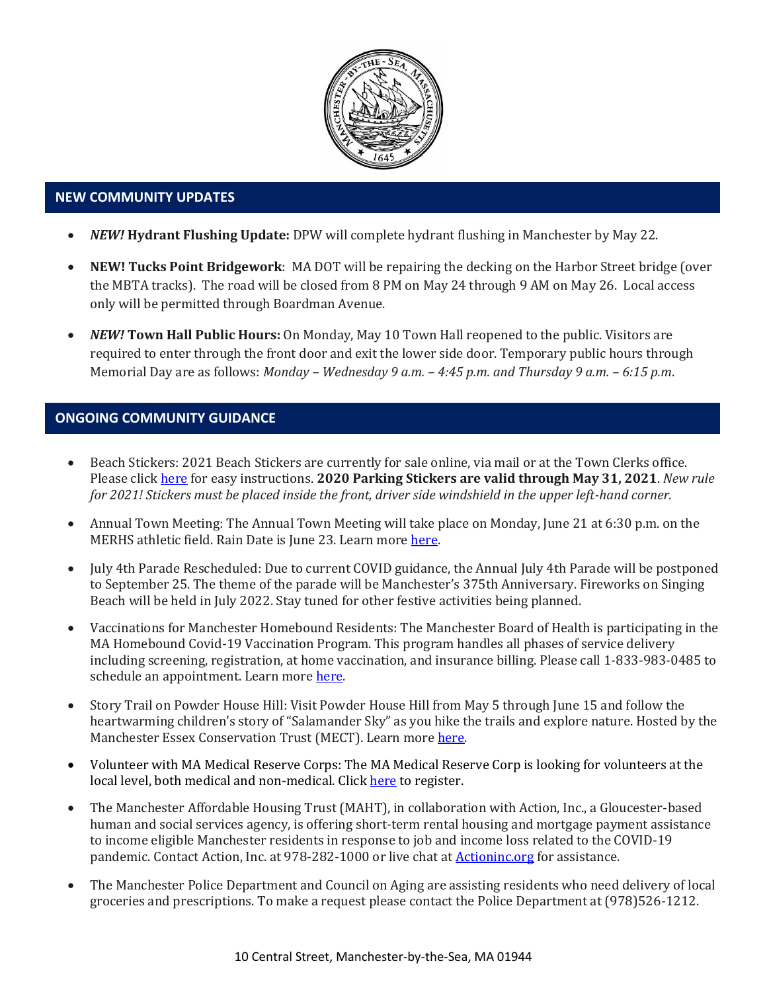

### • **NEW COMMUNITY UPDATES**

- *NEW!* **Hydrant Flushing Update:** DPW will complete hydrant flushing in Manchester by May 22.
- **NEW! Tucks Point Bridgework**: MA DOT will be repairing the decking on the Harbor Street bridge (over the MBTA tracks). The road will be closed from 8 PM on May 24 through 9 AM on May 26. Local access only will be permitted through Boardman Avenue.
- *NEW!* **Town Hall Public Hours:** On Monday, May 10 Town Hall reopened to the public. Visitors are required to enter through the front door and exit the lower side door. Temporary public hours through Memorial Day are as follows: *Monday – Wednesday 9 a.m. – 4:45 p.m. and Thursday 9 a.m. – 6:15 p.m*.

#### **ONGOING COMMUNITY GUIDANCE**

- Beach Stickers: 2021 Beach Stickers are currently for sale online, via mail or at the Town Clerks office. Please clic[k here](http://manchester.ma.us/252/Beach-Resident-Parking-Stickers) for easy instructions. **2020 Parking Stickers are valid through May 31, 2021**. *New rule for 2021! Stickers must be placed inside the front, driver side windshield in the upper left-hand corner.*
- Annual Town Meeting: The Annual Town Meeting will take place on Monday, June 21 at 6:30 p.m. on the MERHS athletic field. Rain Date is June 23. Learn more [here.](http://manchester.ma.us/503/Town-Meetings-and-Elections)
- July 4th Parade Rescheduled: Due to current COVID guidance, the Annual July 4th Parade will be postponed to September 25. The theme of the parade will be Manchester's 375th Anniversary. Fireworks on Singing Beach will be held in July 2022. Stay tuned for other festive activities being planned.
- Vaccinations for Manchester Homebound Residents: The Manchester Board of Health is participating in the MA Homebound Covid-19 Vaccination Program. This program handles all phases of service delivery including screening, registration, at home vaccination, and insurance billing. Please call 1-833-983-0485 to schedule an appointment. Learn mor[e here.](http://manchester.ma.us/337/Board-of-Health)
- Story Trail on Powder House Hill: Visit Powder House Hill from May 5 through June 15 and follow the heartwarming children's story of "Salamander Sky" as you hike the trails and explore nature. Hosted by the Manchester Essex Conservation Trust (MECT). Learn mor[e here.](https://www.mect.org/event/storytrail/)
- Volunteer with MA Medical Reserve Corps: The MA Medical Reserve Corp is looking for volunteers at the local level, both medical and non-medical. Clic[k here](https://l.facebook.com/l.php?u=https%3A%2F%2Fwww.mamedicalreservecorps.org%2Fcovid19%3Ffbclid%3DIwAR1O_7U70XMSPe_kbb689S7zAJbCTYavpqNhIz9Ce2s-encj1Mlz3fOmjYI&h=AT3a2b6zxupFiw2RA_9kLVFDLZwmtblukw3wwe3pvVN6YWtLrkwxEyW8Z8S97uuzXDiNt1x4DYp7DeOoXm1U98GjBQQufV4R5eC5sYpFoqMi6iMDgiQu2THu_d0XoA0BnNUMg336NM-KtUxjtQ&__tn__=-UK-R&c%5b0%5d=AT2anP_ULhxU-U55t7AxrMiNTXfNIJnoicfzRyKEGzk_70Dtxb6ttNSKpwftDkeovmenW9ksjPEmhjSrMDjZ_NEMD2Upi_WEREnPIZBLU-8cgapV1WMi5HvUjS0InF_0K4aE4PXV6bei0V79lnY9jSo89LgXHVCMF9u0-PYa4j6cBMOzl7xPt7oB2_WGVQ8cDciW8b9U) to register.
- The Manchester Affordable Housing Trust (MAHT), in collaboration with Action, Inc., a Gloucester-based human and social services agency, is offering short-term rental housing and mortgage payment assistance to income eligible Manchester residents in response to job and income loss related to the COVID-19 pandemic. Contact Action, Inc. at 978-282-1000 or live chat at **Actioninc.org** for assistance.
- The Manchester Police Department and Council on Aging are assisting residents who need delivery of local groceries and prescriptions. To make a request please contact the Police Department at (978)526-1212.